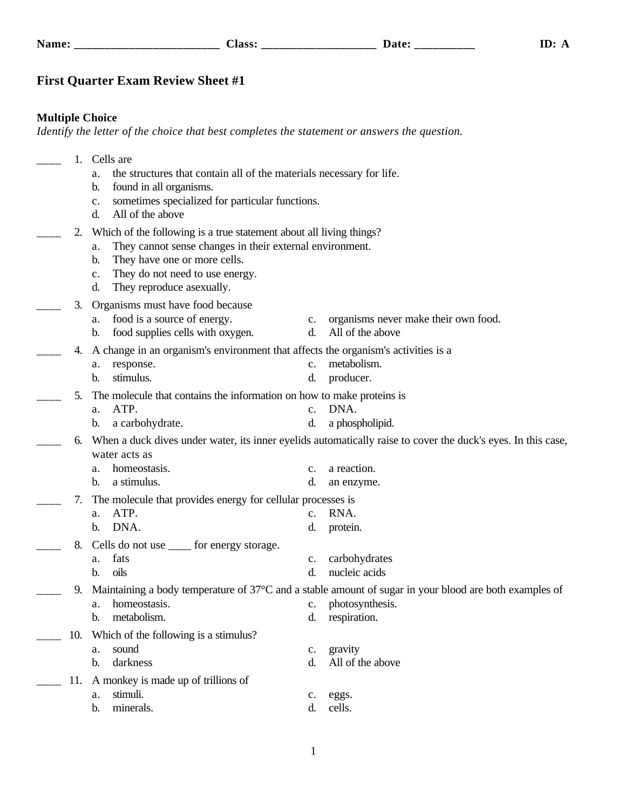## **First Quarter Exam Review Sheet #1**

## **Multiple Choice**

*Identify the letter of the choice that best completes the statement or answers the question.*

|                                                                                         | 1.  | Cells are                                                                                                        |                |                                                                                                              |  |  |
|-----------------------------------------------------------------------------------------|-----|------------------------------------------------------------------------------------------------------------------|----------------|--------------------------------------------------------------------------------------------------------------|--|--|
|                                                                                         |     | the structures that contain all of the materials necessary for life.<br>a.                                       |                |                                                                                                              |  |  |
|                                                                                         |     | found in all organisms.<br>b.                                                                                    |                |                                                                                                              |  |  |
|                                                                                         |     | sometimes specialized for particular functions.<br>$\mathbf{c}$ .                                                |                |                                                                                                              |  |  |
|                                                                                         |     | All of the above<br>d.                                                                                           |                |                                                                                                              |  |  |
|                                                                                         | 2.  | Which of the following is a true statement about all living things?                                              |                |                                                                                                              |  |  |
|                                                                                         |     | They cannot sense changes in their external environment.<br>a.                                                   |                |                                                                                                              |  |  |
|                                                                                         |     | They have one or more cells.<br>b.                                                                               |                |                                                                                                              |  |  |
|                                                                                         |     | They do not need to use energy.<br>c.                                                                            |                |                                                                                                              |  |  |
|                                                                                         |     | They reproduce asexually.<br>d.                                                                                  |                |                                                                                                              |  |  |
|                                                                                         | 3.  | Organisms must have food because                                                                                 |                |                                                                                                              |  |  |
|                                                                                         |     | a. food is a source of energy.                                                                                   | c.             | organisms never make their own food.                                                                         |  |  |
|                                                                                         |     | food supplies cells with oxygen.<br>b.                                                                           | d.             | All of the above                                                                                             |  |  |
| A change in an organism's environment that affects the organism's activities is a<br>4. |     |                                                                                                                  |                |                                                                                                              |  |  |
|                                                                                         |     | response.<br>a.                                                                                                  | $\mathbf{c}$ . | metabolism.                                                                                                  |  |  |
|                                                                                         |     | stimulus.<br>b.                                                                                                  | d.             | producer.                                                                                                    |  |  |
|                                                                                         | 5.  | The molecule that contains the information on how to make proteins is                                            |                |                                                                                                              |  |  |
|                                                                                         |     | ATP.<br>a.                                                                                                       | $\mathbf{c}$ . | DNA.                                                                                                         |  |  |
|                                                                                         |     | a carbohydrate.<br>b.                                                                                            | d.             | a phospholipid.                                                                                              |  |  |
|                                                                                         | 6.  |                                                                                                                  |                | When a duck dives under water, its inner eyelids automatically raise to cover the duck's eyes. In this case, |  |  |
|                                                                                         |     | water acts as                                                                                                    |                |                                                                                                              |  |  |
|                                                                                         |     | homeostasis.<br>a.                                                                                               | $\mathbf{c}$ . | a reaction.                                                                                                  |  |  |
|                                                                                         |     | a stimulus.<br>b.                                                                                                | d.             | an enzyme.                                                                                                   |  |  |
|                                                                                         | 7.  | The molecule that provides energy for cellular processes is                                                      |                |                                                                                                              |  |  |
|                                                                                         |     | ATP.<br>a.                                                                                                       | $\mathbf{c}$ . | RNA.                                                                                                         |  |  |
|                                                                                         |     | DNA.<br>b.                                                                                                       | d.             | protein.                                                                                                     |  |  |
|                                                                                         | 8.  | Cells do not use <u>same</u> for energy storage.                                                                 |                |                                                                                                              |  |  |
|                                                                                         |     | fats<br>a.                                                                                                       | $\mathbf{c}$ . | carbohydrates                                                                                                |  |  |
|                                                                                         |     | oils<br>b.                                                                                                       | d.             | nucleic acids                                                                                                |  |  |
|                                                                                         | 9.  | Maintaining a body temperature of $37^{\circ}$ C and a stable amount of sugar in your blood are both examples of |                |                                                                                                              |  |  |
|                                                                                         |     | homeostasis.<br>a.                                                                                               |                | c. photosynthesis.                                                                                           |  |  |
|                                                                                         |     | metabolism.<br>b.                                                                                                | d.             | respiration.                                                                                                 |  |  |
|                                                                                         | 10. | Which of the following is a stimulus?                                                                            |                |                                                                                                              |  |  |
|                                                                                         |     | sound<br>a.                                                                                                      | $\mathbf{c}$ . | gravity                                                                                                      |  |  |
|                                                                                         |     | darkness<br>b.                                                                                                   | d.             | All of the above                                                                                             |  |  |
|                                                                                         | 11. | A monkey is made up of trillions of                                                                              |                |                                                                                                              |  |  |
|                                                                                         |     | stimuli.<br>a.                                                                                                   | c.             | eggs.                                                                                                        |  |  |
|                                                                                         |     | minerals.<br>b.                                                                                                  | d.             | cells.                                                                                                       |  |  |